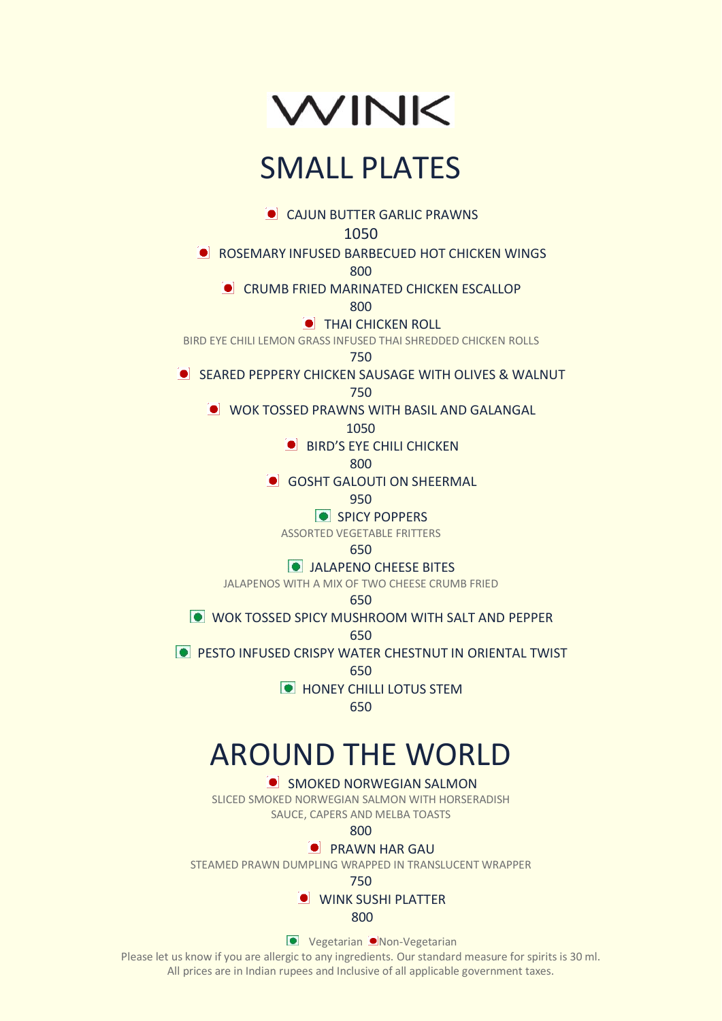

# SMALL PLATES

**CAJUN BUTTER GARLIC PRAWNS** 

1050

**C** ROSEMARY INFUSED BARBECUED HOT CHICKEN WINGS

800

## **CRUMB FRIED MARINATED CHICKEN ESCALLOP**

800

**THAI CHICKEN ROLL** 

BIRD EYE CHILI LEMON GRASS INFUSED THAI SHREDDED CHICKEN ROLLS

750

**SEARED PEPPERY CHICKEN SAUSAGE WITH OLIVES & WALNUT** 

750

**O WOK TOSSED PRAWNS WITH BASIL AND GALANGAL** 

1050

**BIRD'S EYE CHILI CHICKEN** 

800

**GOSHT GALOUTI ON SHEERMAL** 

950

**SPICY POPPERS** 

ASSORTED VEGETABLE FRITTERS

### 650

## **O** JALAPENO CHEESE BITES

JALAPENOS WITH A MIX OF TWO CHEESE CRUMB FRIED

650

**WOK TOSSED SPICY MUSHROOM WITH SALT AND PEPPER** 

650

**PESTO INFUSED CRISPY WATER CHESTNUT IN ORIENTAL TWIST** 

650

**HONEY CHILLI LOTUS STEM** 

650

# AROUND THE WORLD

**SMOKED NORWEGIAN SALMON** 

SLICED SMOKED NORWEGIAN SALMON WITH HORSERADISH SAUCE, CAPERS AND MELBA TOASTS

800

## **PRAWN HAR GAU**

STEAMED PRAWN DUMPLING WRAPPED IN TRANSLUCENT WRAPPER

750

**O** WINK SUSHI PLATTER

<u>800 - Andre Sterne Sterne Sterne Sterne Sterne Sterne Sterne Sterne Sterne Sterne Sterne Sterne Sterne Sterne</u>

**Vegetarian Non-Vegetarian**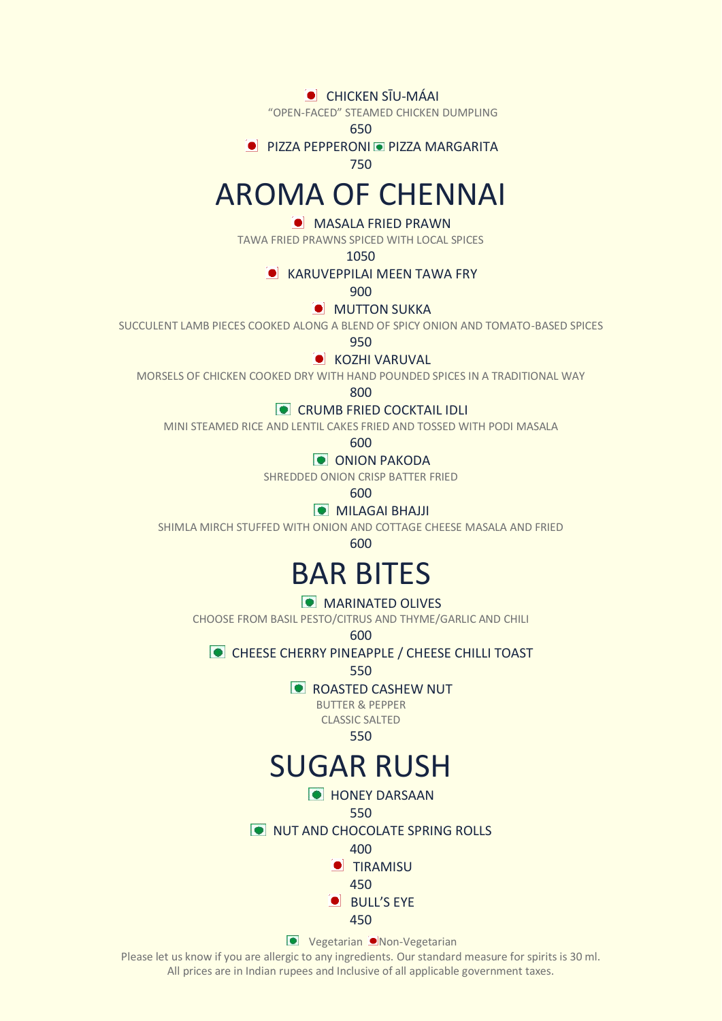### **CHICKEN SĪU-MÁAI**

"OPEN-FACED" STEAMED CHICKEN DUMPLING

650

**PIZZA PEPPERONI PIZZA MARGARITA** 

750

## AROMA OF CHENNAI

## **O MASALA FRIED PRAWN**

TAWA FRIED PRAWNS SPICED WITH LOCAL SPICES

1050

### **CONTROLLER IN TAWA FRY**

 $900$ 

#### **MUTTON SUKKA**

SUCCULENT LAMB PIECES COOKED ALONG A BLEND OF SPICY ONION AND TOMATO-BASED SPICES

950

#### **COZHI VARUVAL**

MORSELS OF CHICKEN COOKED DRY WITH HAND POUNDED SPICES IN A TRADITIONAL WAY

800

**CRUMB FRIED COCKTAIL IDLI** 

MINI STEAMED RICE AND LENTIL CAKES FRIED AND TOSSED WITH PODI MASALA

600

## **ONION PAKODA**

SHREDDED ONION CRISP BATTER FRIED

600

## **MILAGAI BHAJJI**

SHIMLA MIRCH STUFFED WITH ONION AND COTTAGE CHEESE MASALA AND FRIED

600

## BAR BITES

## **MARINATED OLIVES**

CHOOSE FROM BASIL PESTO/CITRUS AND THYME/GARLIC AND CHILI

600

## **CHEESE CHERRY PINEAPPLE / CHEESE CHILLI TOAST**

550

## **ROASTED CASHEW NUT**

BUTTER & PEPPER CLASSIC SALTED

550

## SUGAR RUSH

- **C** HONEY DARSAAN
	- 550
- O NUT AND CHOCOLATE SPRING ROLLS

400

**O** TIRAMISU

450

 $\bullet$  BULL'S EYE

450

**Vegetarian Non-Vegetarian**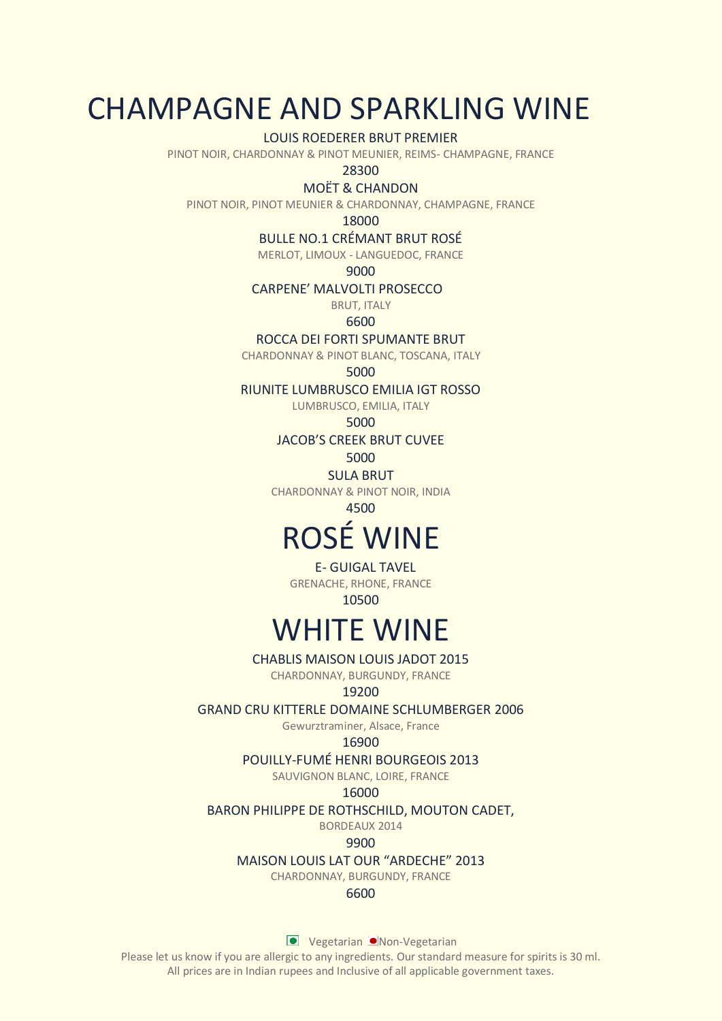## CHAMPAGNE AND SPARKLING WINE

LOUIS ROEDERER BRUT PREMIER

PINOT NOIR, CHARDONNAY & PINOT MEUNIER, REIMS- CHAMPAGNE, FRANCE

28300

MOËT & CHANDON

PINOT NOIR, PINOT MEUNIER & CHARDONNAY, CHAMPAGNE, FRANCE

18000

BULLE NO.1 CRÉMANT BRUT ROSÉ

MERLOT, LIMOUX - LANGUEDOC, FRANCE

9000

CARPENE' MALVOLTI PROSECCO

BRUT, ITALY

6600

ROCCA DEI FORTI SPUMANTE BRUT

CHARDONNAY & PINOT BLANC, TOSCANA, ITALY

5000

RIUNITE LUMBRUSCO EMILIA IGT ROSSO

LUMBRUSCO, EMILIA, ITALY

5000

JACOB'S CREEK BRUT CUVEE

5000

SULA BRUT

CHARDONNAY & PINOT NOIR, INDIA

4500

# ROSÉ WINE

E- GUIGAL TAVEL

GRENACHE, RHONE, FRANCE

10500

# WHITE WINE

CHABLIS MAISON LOUIS JADOT 2015 CHARDONNAY, BURGUNDY, FRANCE

## 19200

GRAND CRU KITTERLE DOMAINE SCHLUMBERGER 2006

Gewurztraminer, Alsace, France

#### 16900

POUILLY-FUMÉ HENRI BOURGEOIS 2013

SAUVIGNON BLANC, LOIRE, FRANCE

#### 16000

BARON PHILIPPE DE ROTHSCHILD, MOUTON CADET,

BORDEAUX 2014

9900

MAISON LOUIS LAT OUR "ARDECHE" 2013

CHARDONNAY, BURGUNDY, FRANCE

## 6600

**Vegetarian Non-Vegetarian**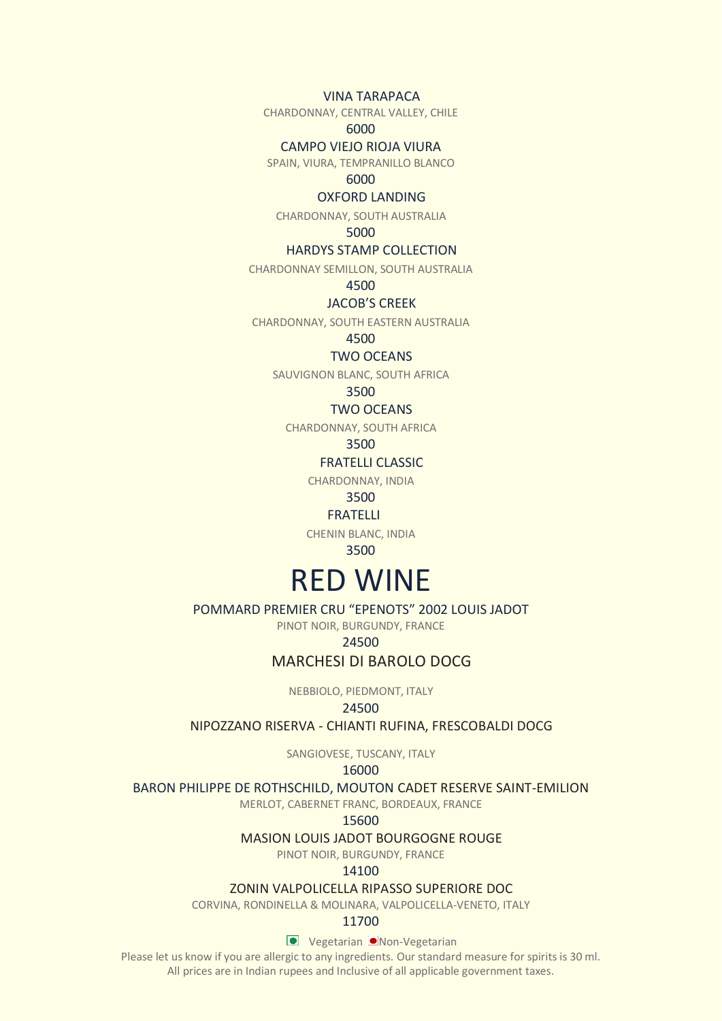VINA TARAPACA

CHARDONNAY, CENTRAL VALLEY, CHILE

6000

#### CAMPO VIEJO RIOJA VIURA

SPAIN, VIURA, TEMPRANILLO BLANCO

#### 6000

#### OXFORD LANDING

CHARDONNAY, SOUTH AUSTRALIA

## 5000

#### HARDYS STAMP COLLECTION

CHARDONNAY SEMILLON, SOUTH AUSTRALIA

4500

### JACOB'S CREEK

CHARDONNAY, SOUTH EASTERN AUSTRALIA

## 4500

## TWO OCEANS

SAUVIGNON BLANC, SOUTH AFRICA

3500

### TWO OCEANS

CHARDONNAY, SOUTH AFRICA

#### 3500

FRATELLI CLASSIC

CHARDONNAY, INDIA

3500

#### FRATELLI

CHENIN BLANC, INDIA

3500

## RED WINE

#### POMMARD PREMIER CRU "EPENOTS" 2002 LOUIS JADOT

PINOT NOIR, BURGUNDY, FRANCE

### 24500

## MARCHESI DI BAROLO DOCG

NEBBIOLO, PIEDMONT, ITALY

#### 24500

#### NIPOZZANO RISERVA - CHIANTI RUFINA, FRESCOBALDI DOCG

SANGIOVESE, TUSCANY, ITALY

## 16000

#### BARON PHILIPPE DE ROTHSCHILD, MOUTON CADET RESERVE SAINT-EMILION

MERLOT, CABERNET FRANC, BORDEAUX, FRANCE

#### 15600

## MASION LOUIS JADOT BOURGOGNE ROUGE

PINOT NOIR, BURGUNDY, FRANCE

#### 14100

#### ZONIN VALPOLICELLA RIPASSO SUPERIORE DOC

CORVINA, RONDINELLA & MOLINARA, VALPOLICELLA-VENETO, ITALY

### 11700

**Vegetarian Non-Vegetarian**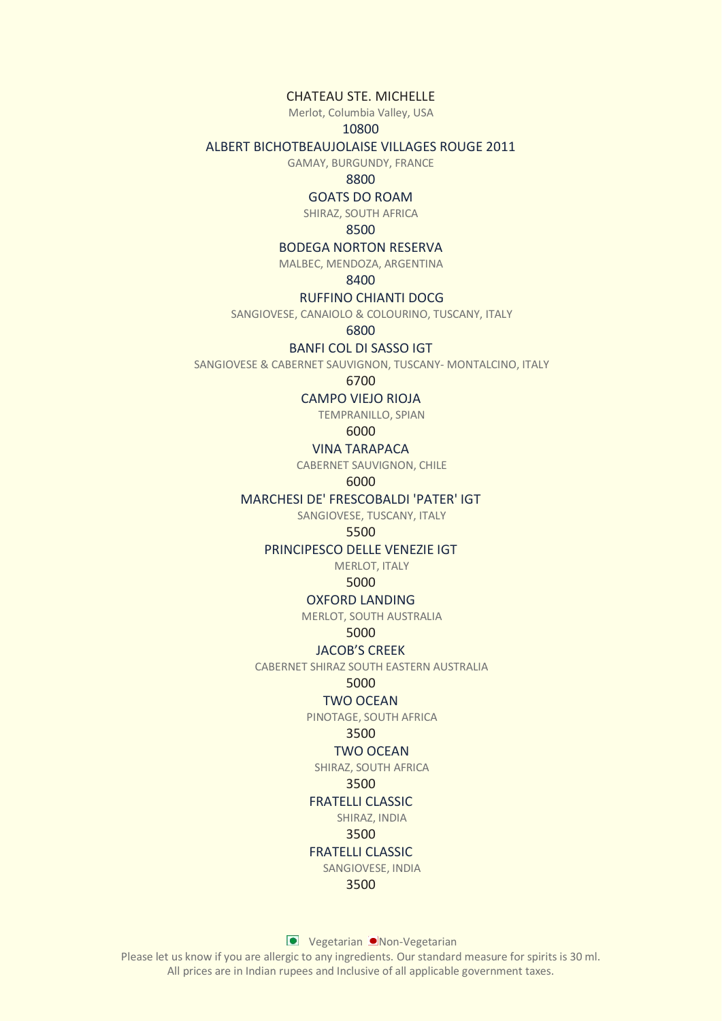CHATEAU STE. MICHELLE

Merlot, Columbia Valley, USA

## 10800

#### ALBERT BICHOTBEAUJOLAISE VILLAGES ROUGE 2011

GAMAY, BURGUNDY, FRANCE

#### 8800

### GOATS DO ROAM

SHIRAZ, SOUTH AFRICA

### 8500

#### BODEGA NORTON RESERVA

MALBEC, MENDOZA, ARGENTINA

8400

### RUFFINO CHIANTI DOCG

SANGIOVESE, CANAIOLO & COLOURINO, TUSCANY, ITALY

6800

### BANFI COL DI SASSO IGT

SANGIOVESE & CABERNET SAUVIGNON, TUSCANY- MONTALCINO, ITALY

#### 6700

#### CAMPO VIEJO RIOJA

TEMPRANILLO, SPIAN

6000

### VINA TARAPACA

CABERNET SAUVIGNON, CHILE

### 6000

#### MARCHESI DE' FRESCOBALDI 'PATER' IGT

SANGIOVESE, TUSCANY, ITALY

#### 5500

#### PRINCIPESCO DELLE VENEZIE IGT

MERLOT, ITALY

### 5000

#### OXFORD LANDING

MERLOT, SOUTH AUSTRALIA

#### 5000

#### JACOB'S CREEK

CABERNET SHIRAZ SOUTH EASTERN AUSTRALIA

#### 5000

#### TWO OCEAN

PINOTAGE, SOUTH AFRICA

#### 3500

#### TWO OCEAN

SHIRAZ, SOUTH AFRICA

#### 3500

## FRATELLI CLASSIC

SHIRAZ, INDIA

## 3500

## FRATELLI CLASSIC

SANGIOVESE, INDIA

3500

**Vegetarian Non-Vegetarian**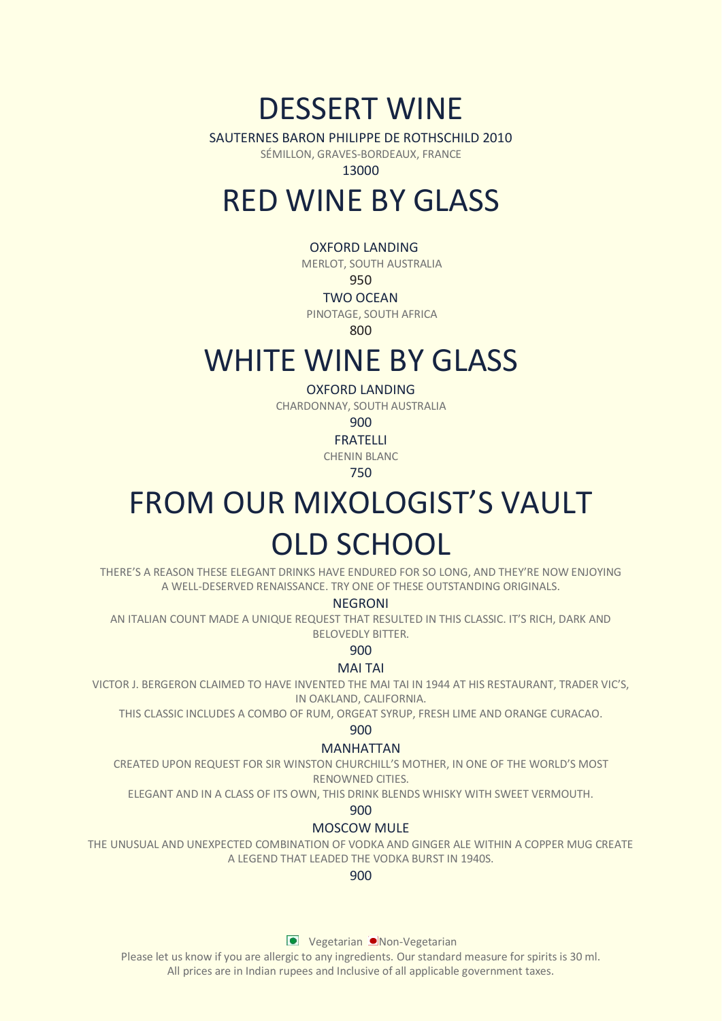## DESSERT WINE

SAUTERNES BARON PHILIPPE DE ROTHSCHILD 2010

SÉMILLON, GRAVES-BORDEAUX, FRANCE

13000

## RED WINE BY GLASS

## OXFORD LANDING

MERLOT, SOUTH AUSTRALIA

### 950

## TWO OCEAN

PINOTAGE, SOUTH AFRICA

800

## WHITE WINE BY GLASS

### OXFORD LANDING

CHARDONNAY, SOUTH AUSTRALIA

900

FRATELLI

CHENIN BLANC

750

# FROM OUR MIXOLOGIST'S VAULT OLD SCHOOL

THERE'S A REASON THESE ELEGANT DRINKS HAVE ENDURED FOR SO LONG, AND THEY'RE NOW ENJOYING A WELL-DESERVED RENAISSANCE. TRY ONE OF THESE OUTSTANDING ORIGINALS.

#### **NEGRONI**

AN ITALIAN COUNT MADE A UNIQUE REQUEST THAT RESULTED IN THIS CLASSIC. IT'S RICH, DARK AND BELOVEDLY BITTER.

900

### MAI TAI

VICTOR J. BERGERON CLAIMED TO HAVE INVENTED THE MAI TAI IN 1944 AT HIS RESTAURANT, TRADER VIC'S, IN OAKLAND, CALIFORNIA.

THIS CLASSIC INCLUDES A COMBO OF RUM, ORGEAT SYRUP, FRESH LIME AND ORANGE CURACAO.

900

### MANHATTAN

CREATED UPON REQUEST FOR SIR WINSTON CHURCHILL'S MOTHER, IN ONE OF THE WORLD'S MOST RENOWNED CITIES.

ELEGANT AND IN A CLASS OF ITS OWN, THIS DRINK BLENDS WHISKY WITH SWEET VERMOUTH.

900

### MOSCOW MULE

THE UNUSUAL AND UNEXPECTED COMBINATION OF VODKA AND GINGER ALE WITHIN A COPPER MUG CREATE A LEGEND THAT LEADED THE VODKA BURST IN 1940S.

## 900

**Vegetarian Non-Vegetarian**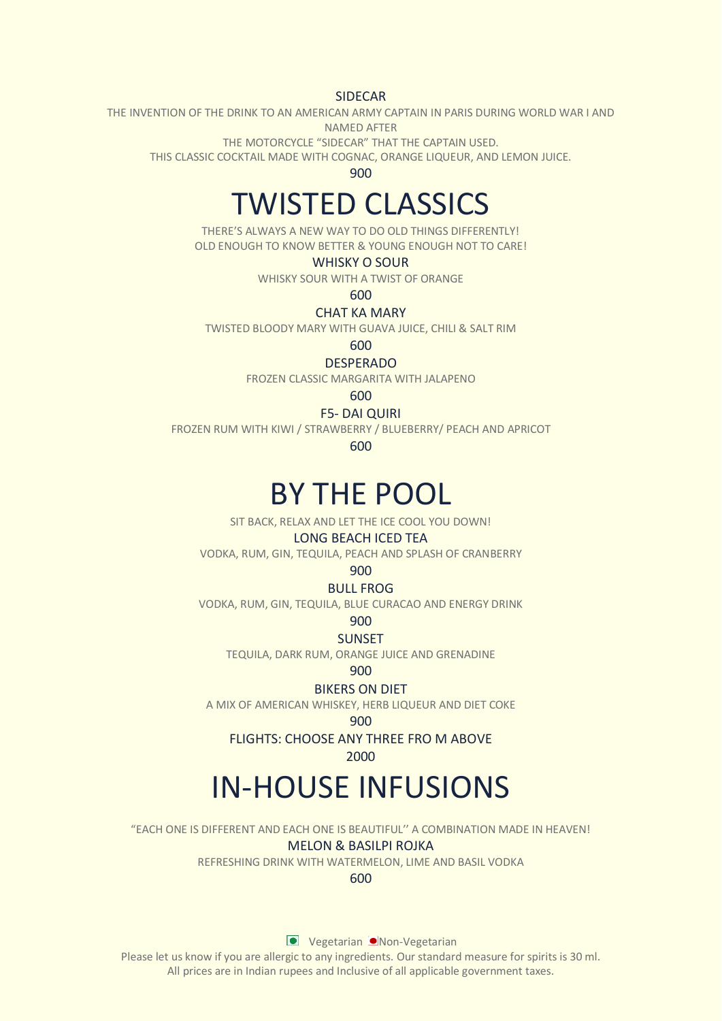SIDECAR

THE INVENTION OF THE DRINK TO AN AMERICAN ARMY CAPTAIN IN PARIS DURING WORLD WAR I AND NAMED AFTER

THE MOTORCYCLE "SIDECAR" THAT THE CAPTAIN USED.

THIS CLASSIC COCKTAIL MADE WITH COGNAC, ORANGE LIQUEUR, AND LEMON JUICE.

900

# TWISTED CLASSICS

THERE'S ALWAYS A NEW WAY TO DO OLD THINGS DIFFERENTLY! OLD ENOUGH TO KNOW BETTER & YOUNG ENOUGH NOT TO CARE!

#### WHISKY O SOUR

WHISKY SOUR WITH A TWIST OF ORANGE

600

## CHAT KA MARY

TWISTED BLOODY MARY WITH GUAVA JUICE, CHILI & SALT RIM

600

DESPERADO

FROZEN CLASSIC MARGARITA WITH JALAPENO

600

#### F5- DAI QUIRI

FROZEN RUM WITH KIWI / STRAWBERRY / BLUEBERRY/ PEACH AND APRICOT

600

## BY THE POOL

SIT BACK, RELAX AND LET THE ICE COOL YOU DOWN!

#### LONG BEACH ICED TEA

VODKA, RUM, GIN, TEQUILA, PEACH AND SPLASH OF CRANBERRY

### 900

BULL FROG

VODKA, RUM, GIN, TEQUILA, BLUE CURACAO AND ENERGY DRINK

#### 900

SUNSET

TEQUILA, DARK RUM, ORANGE JUICE AND GRENADINE

900

### BIKERS ON DIET

A MIX OF AMERICAN WHISKEY, HERB LIQUEUR AND DIET COKE

900

FLIGHTS: CHOOSE ANY THREE FRO M ABOVE

### 2000

# IN-HOUSE INFUSIONS

"EACH ONE IS DIFFERENT AND EACH ONE IS BEAUTIFUL'' A COMBINATION MADE IN HEAVEN!

MELON & BASILPI ROJKA

REFRESHING DRINK WITH WATERMELON, LIME AND BASIL VODKA

#### 600

**Vegetarian Non-Vegetarian**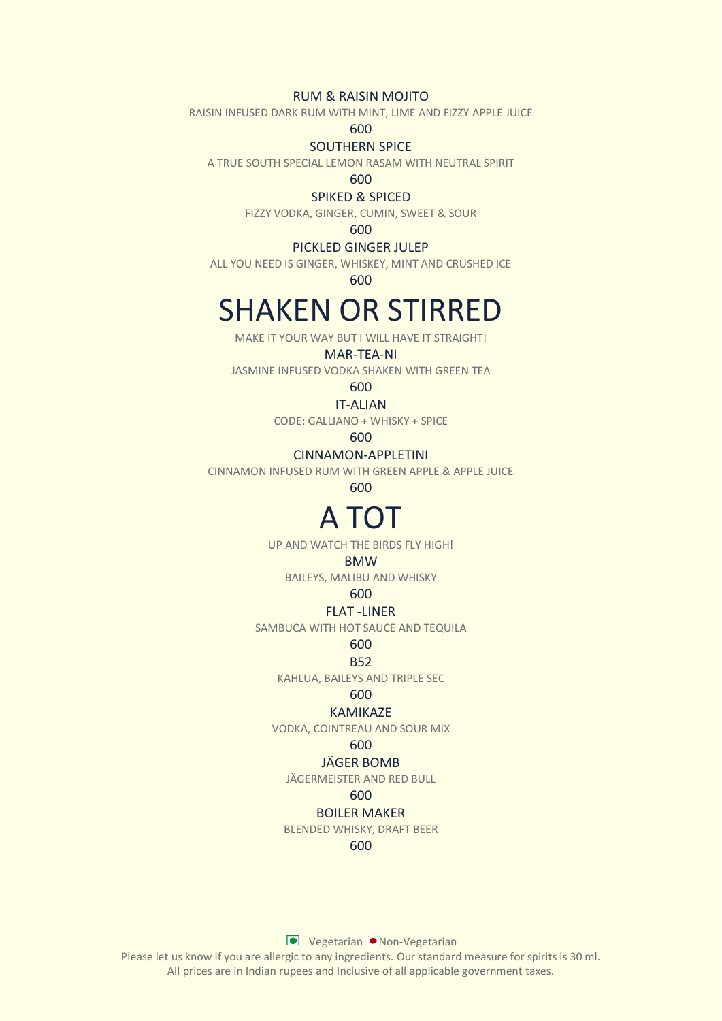### RUM & RAISIN MOJITO

RAISIN INFUSED DARK RUM WITH MINT, LIME AND FIZZY APPLE JUICE

600

#### SOUTHERN SPICE

A TRUE SOUTH SPECIAL LEMON RASAM WITH NEUTRAL SPIRIT

600

#### SPIKED & SPICED

FIZZY VODKA, GINGER, CUMIN, SWEET & SOUR

600

#### PICKLED GINGER JULEP

ALL YOU NEED IS GINGER, WHISKEY, MINT AND CRUSHED ICE

600

# SHAKEN OR STIRRED

MAKE IT YOUR WAY BUT I WILL HAVE IT STRAIGHT!

### MAR-TEA-NI

JASMINE INFUSED VODKA SHAKEN WITH GREEN TEA

## 600

IT-ALIAN

CODE: GALLIANO + WHISKY + SPICE

600

### CINNAMON-APPLETINI

CINNAMON INFUSED RUM WITH GREEN APPLE & APPLE JUICE

600

## A TOT

UP AND WATCH THE BIRDS FLY HIGH!

#### BMW

BAILEYS, MALIBU AND WHISKY

#### 600

#### FLAT -LINER

SAMBUCA WITH HOT SAUCE AND TEQUILA

600

### B52

KAHLUA, BAILEYS AND TRIPLE SEC

## 600

## KAMIKAZE

VODKA, COINTREAU AND SOUR MIX

## 600

## JÄGER BOMB

JÄGERMEISTER AND RED BULL

#### 600

#### BOILER MAKER

BLENDED WHISKY, DRAFT BEER

#### 600

**Vegetarian Non-Vegetarian**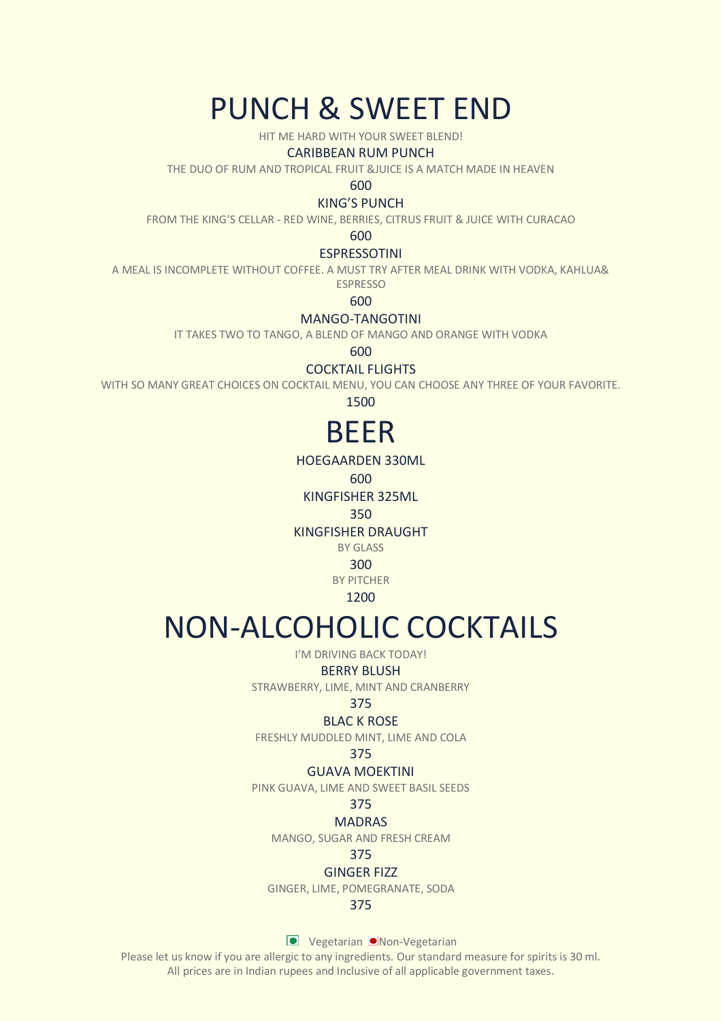## PUNCH & SWEET END

HIT ME HARD WITH YOUR SWEET BLEND!

#### CARIBBEAN RUM PUNCH

THE DUO OF RUM AND TROPICAL FRUIT &JUICE IS A MATCH MADE IN HEAVEN

600

#### KING'S PUNCH

FROM THE KING'S CELLAR - RED WINE, BERRIES, CITRUS FRUIT & JUICE WITH CURACAO

600

### ESPRESSOTINI

A MEAL IS INCOMPLETE WITHOUT COFFEE. A MUST TRY AFTER MEAL DRINK WITH VODKA, KAHLUA&

ESPRESSO

600

### MANGO-TANGOTINI

IT TAKES TWO TO TANGO, A BLEND OF MANGO AND ORANGE WITH VODKA

600

COCKTAIL FLIGHTS

WITH SO MANY GREAT CHOICES ON COCKTAIL MENU, YOU CAN CHOOSE ANY THREE OF YOUR FAVORITE.

1500

## BEER

HOEGAARDEN 330ML

600

KINGFISHER 325ML

350

KINGFISHER DRAUGHT

BY GLASS

300 BY PITCHER

1200

# NON-ALCOHOLIC COCKTAILS

I'M DRIVING BACK TODAY!

#### BERRY BLUSH

STRAWBERRY, LIME, MINT AND CRANBERRY

#### 375

#### BLAC K ROSE

FRESHLY MUDDLED MINT, LIME AND COLA

375

#### GUAVA MOEKTINI

PINK GUAVA, LIME AND SWEET BASIL SEEDS

## 375

MADRAS

MANGO, SUGAR AND FRESH CREAM

## 375

GINGER FIZZ

GINGER, LIME, POMEGRANATE, SODA

### 375

**Vegetarian Non-Vegetarian**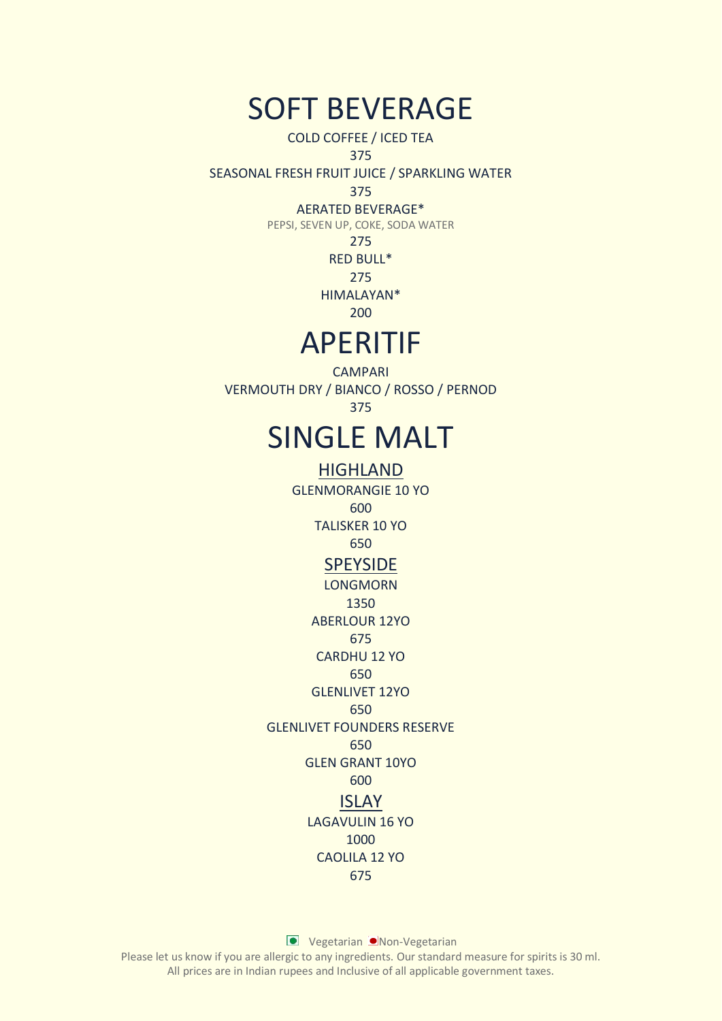## SOFT BEVERAGE

COLD COFFEE / ICED TEA

### 375

SEASONAL FRESH FRUIT JUICE / SPARKLING WATER

## 375

## AERATED BEVERAGE\*

PEPSI, SEVEN UP, COKE, SODA WATER

### 275

RED BULL\*

275

HIMALAYAN\*

200

## APERITIF

**CAMPARI** VERMOUTH DRY / BIANCO / ROSSO / PERNOD 375

## SINGLE MALT

HIGHLAND GLENMORANGIE 10 YO 600 TALISKER 10 YO 650 **SPEYSIDE** LONGMORN 1350 ABERLOUR 12YO 675 CARDHU 12 YO 650 GLENLIVET 12YO 650 GLENLIVET FOUNDERS RESERVE 650 GLEN GRANT 10YO 600 ISLAY LAGAVULIN 16 YO 1000 CAOLILA 12 YO 675

**Vegetarian Non-Vegetarian**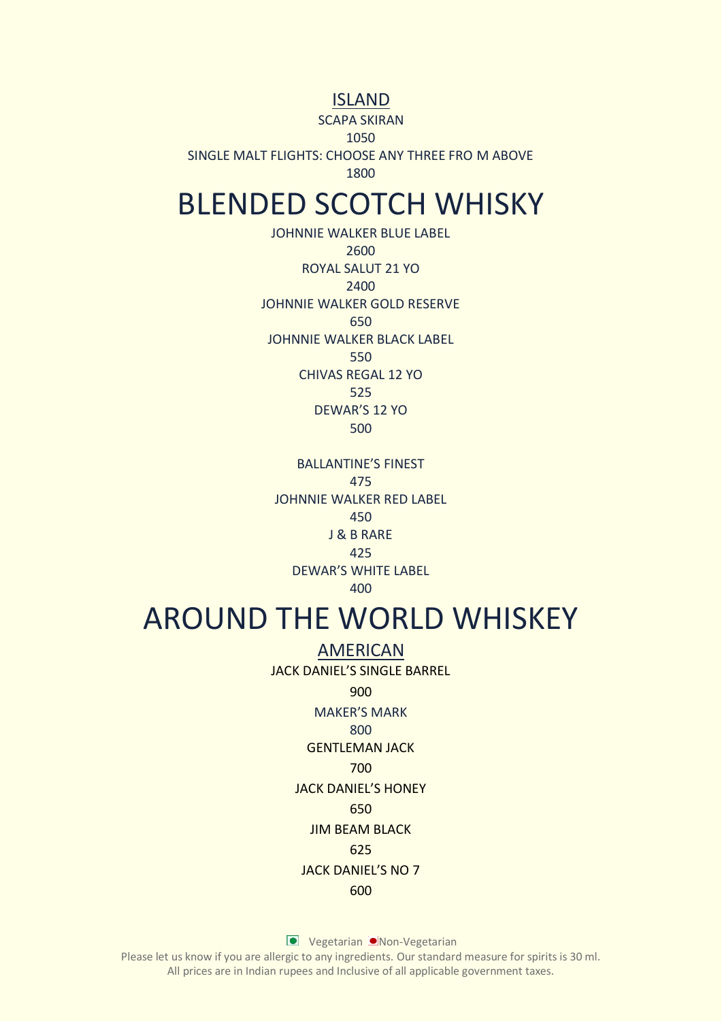## ISLAND

SCAPA SKIRAN

1050

SINGLE MALT FLIGHTS: CHOOSE ANY THREE FRO M ABOVE

1800

## BLENDED SCOTCH WHISKY

JOHNNIE WALKER BLUE LABEL 2600 ROYAL SALUT 21 YO 2400 JOHNNIE WALKER GOLD RESERVE 650 JOHNNIE WALKER BLACK LABEL 550 CHIVAS REGAL 12 YO 525 DEWAR'S 12 YO 500

BALLANTINE'S FINEST 475 JOHNNIE WALKER RED LABEL 450 J & B RARE 425 DEWAR'S WHITE LABEL 400

## AROUND THE WORLD WHISKEY

AMERICAN JACK DANIEL'S SINGLE BARREL 900 MAKER'S MARK 800 GENTLEMAN JACK 700 JACK DANIEL'S HONEY 650

JIM BEAM BLACK

## 625

## JACK DANIEL'S NO 7

### 600

**Vegetarian Non-Vegetarian**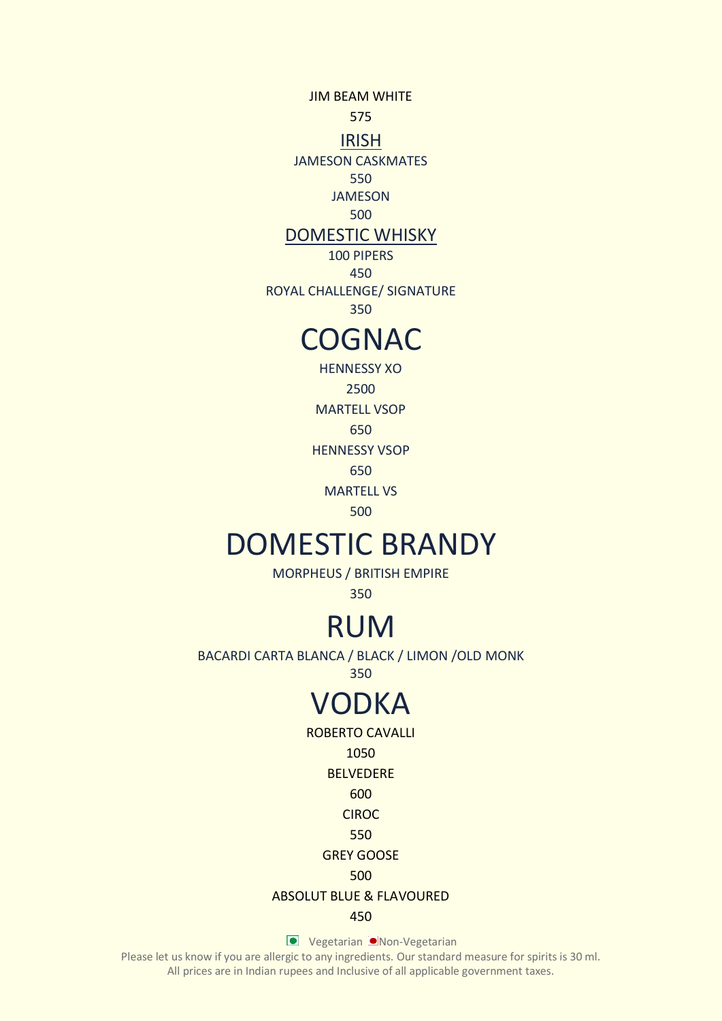JIM BEAM WHITE 575

IRISH

JAMESON CASKMATES

550

JAMESON

500

## DOMESTIC WHISKY

100 PIPERS 450

ROYAL CHALLENGE/ SIGNATURE

350

## **COGNAC**

HENNESSY XO 2500 MARTELL VSOP 650 HENNESSY VSOP 650

MARTELL VS

500

# DOMESTIC BRANDY

MORPHEUS / BRITISH EMPIRE

350

# RUM

BACARDI CARTA BLANCA / BLACK / LIMON /OLD MONK

350

# VODKA

ROBERTO CAVALLI

1050

BELVEDERE

600

CIROC

550

## GREY GOOSE

500

## ABSOLUT BLUE & FLAVOURED

450

**Vegetarian Non-Vegetarian**